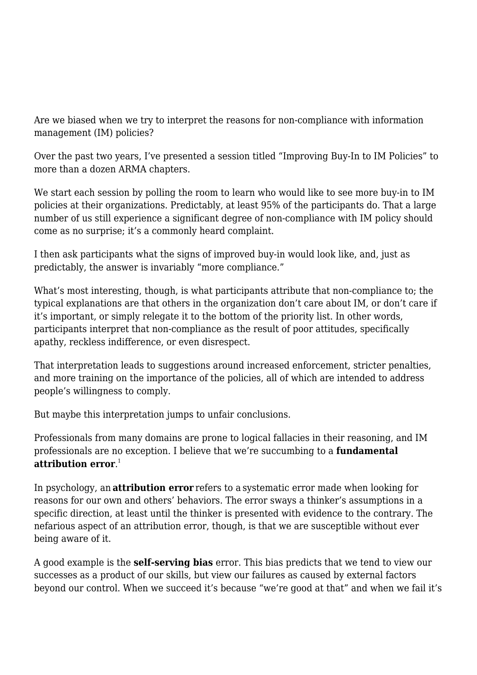Are we biased when we try to interpret the reasons for non-compliance with information management (IM) policies?

Over the past two years, I've presented a session titled "Improving Buy-In to IM Policies" to more than a dozen ARMA chapters.

We start each session by polling the room to learn who would like to see more buy-in to IM policies at their organizations. Predictably, at least 95% of the participants do. That a large number of us still experience a significant degree of non-compliance with IM policy should come as no surprise; it's a commonly heard complaint.

I then ask participants what the signs of improved buy-in would look like, and, just as predictably, the answer is invariably "more compliance."

What's most interesting, though, is what participants attribute that non-compliance to; the typical explanations are that others in the organization don't care about IM, or don't care if it's important, or simply relegate it to the bottom of the priority list. In other words, participants interpret that non-compliance as the result of poor attitudes, specifically apathy, reckless indifference, or even disrespect.

That interpretation leads to suggestions around increased enforcement, stricter penalties, and more training on the importance of the policies, all of which are intended to address people's willingness to comply.

But maybe this interpretation jumps to unfair conclusions. 

Professionals from many domains are prone to logical fallacies in their reasoning, and IM professionals are no exception. I believe that we're succumbing to a **fundamental attribution error**. 1

In psychology, an **attribution error** refers to a systematic error made when looking for reasons for our own and others' behaviors. The error sways a thinker's assumptions in a specific direction, at least until the thinker is presented with evidence to the contrary. The nefarious aspect of an attribution error, though, is that we are susceptible without ever being aware of it.

A good example is the **self-serving bias** error. This bias predicts that we tend to view our successes as a product of our skills, but view our failures as caused by external factors beyond our control. When we succeed it's because "we're good at that" and when we fail it's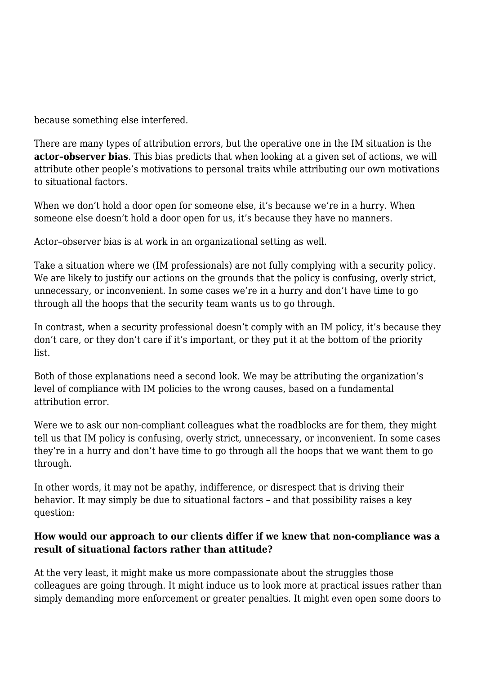because something else interfered.

There are many types of attribution errors, but the operative one in the IM situation is the **actor–observer bias**. This bias predicts that when looking at a given set of actions, we will attribute other people's motivations to personal traits while attributing our own motivations to situational factors.

When we don't hold a door open for someone else, it's because we're in a hurry. When someone else doesn't hold a door open for us, it's because they have no manners.

Actor–observer bias is at work in an organizational setting as well.

Take a situation where we (IM professionals) are not fully complying with a security policy. We are likely to justify our actions on the grounds that the policy is confusing, overly strict, unnecessary, or inconvenient. In some cases we're in a hurry and don't have time to go through all the hoops that the security team wants us to go through.

In contrast, when a security professional doesn't comply with an IM policy, it's because they don't care, or they don't care if it's important, or they put it at the bottom of the priority list.

Both of those explanations need a second look. We may be attributing the organization's level of compliance with IM policies to the wrong causes, based on a fundamental attribution error.

Were we to ask our non-compliant colleagues what the roadblocks are for them, they might tell us that IM policy is confusing, overly strict, unnecessary, or inconvenient. In some cases they're in a hurry and don't have time to go through all the hoops that we want them to go through.

In other words, it may not be apathy, indifference, or disrespect that is driving their behavior. It may simply be due to situational factors – and that possibility raises a key question:

## **How would our approach to our clients differ if we knew that non-compliance was a result of situational factors rather than attitude?**

At the very least, it might make us more compassionate about the struggles those colleagues are going through. It might induce us to look more at practical issues rather than simply demanding more enforcement or greater penalties. It might even open some doors to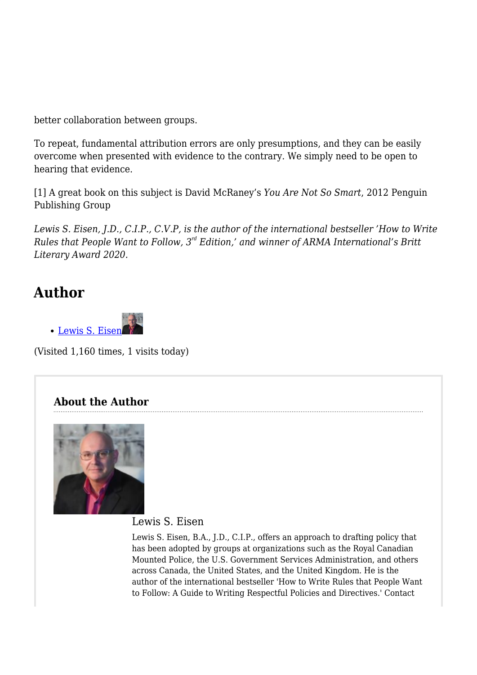better collaboration between groups.

To repeat, fundamental attribution errors are only presumptions, and they can be easily overcome when presented with evidence to the contrary. We simply need to be open to hearing that evidence.

[1] A great book on this subject is David McRaney's *You Are Not So Smart*, 2012 Penguin Publishing Group

*Lewis S. Eisen, J.D., C.I.P., C.V.P, is the author of the international bestseller 'How to Write Rules that People Want to Follow, 3rd Edition,' and winner of ARMA International's Britt Literary Award 2020.*

## **Author**



(Visited 1,160 times, 1 visits today)

## **About the Author**



Lewis S. Eisen

Lewis S. Eisen, B.A., J.D., C.I.P., offers an approach to drafting policy that has been adopted by groups at organizations such as the Royal Canadian Mounted Police, the U.S. Government Services Administration, and others across Canada, the United States, and the United Kingdom. He is the author of the international bestseller 'How to Write Rules that People Want to Follow: A Guide to Writing Respectful Policies and Directives.' Contact